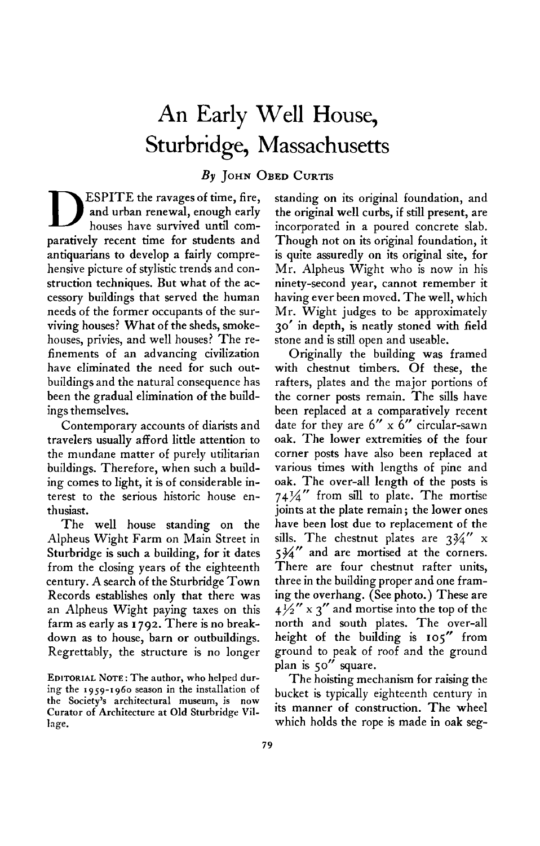## **An Early Well House, Sturbridge, Massachusetts**

**By JOHN OBED CURTIS** 

**D ESPITE the ravages of time, fire, and urban renewal, enough early houses have survived until comparatively recent time for students and antiquarians to develop a fairly comprehensive picture of stylistic trends and construction techniques. But what of the accessory buildings that served the human needs of the former occupants of the surviving houses? What of the sheds, smokehouses, privies, and well houses? The refinements of an advancing civilization have eliminated the need for such outbuildings and the natural consequence has been the gradual elimination of the buildings themselves.** 

**Contemporary accounts of diarists and travelers usually afford little attention to the mundane matter of purely utilitarian buildings. Therefore, when such a building comes to light, it is of considerable interest to the serious historic house enthusiast.** 

**The well house standing on the Alpheus Wight Farm on Main Street in Sturbridge is such a building, for it dates from the closing years of the eighteenth century. A search of the Sturbridge Town Records establishes only that there was an Alpheus Wight paying taxes on this farm as early as I 792. There is no breakdown as to house, barn or outbuildings. Regrettably, the structure is no longer** 

**EDITORIAL NOTE: The author, who helped during the 1959-1960 season in the installation of the Society's architectural museum, is now Curator of Architecture at Old Sturbridge Village.** 

**standing on its original foundation, and the original well curbs, if still present, are incorporated in a poured concrete slab. Though not on its original foundation, it is quite assuredly on its original site, for Mr. Alpheus Wight who is now in his ninety-second year, cannot remember it having ever been moved. The well, which Mr. Wight judges to be approximately 30' in depth, is neatly stoned with field stone and is still open and useable.** 

**Originally the building was framed with chestnut timbers. Of these, the rafters, plates and the major portions of the corner posts remain. The sills have been replaced at a comparatively recent date for they are 6" x 6" circular-sawn oak. The lower extremities of the four corner posts have also been replaced at various times with lengths of pine and oak. The over-all length of the posts is 74v4" from sill to plate. The mortise joints at the plate remain ; the lower ones have been lost due to replacement of the sills. The chestnut plates are 3v4" x 5%" and are mortised at the corners. There are four chestnut rafter units, three in the building proper and one framing the overhang. (See photo.) These are**   $4\frac{1}{2}$ <sup>*x*</sup>  $\frac{1}{2}$  *x*  $\frac{1}{2}$  *and mortise into the top of the* **north and south plates. The over-all height of the building is 10s" from ground to peak of roof and the ground plan is So" square.** 

**The hoisting mechanism for raising the bucket is typically eighteenth century in its manner of construction. The wheel which holds the rope is made in oak seg-**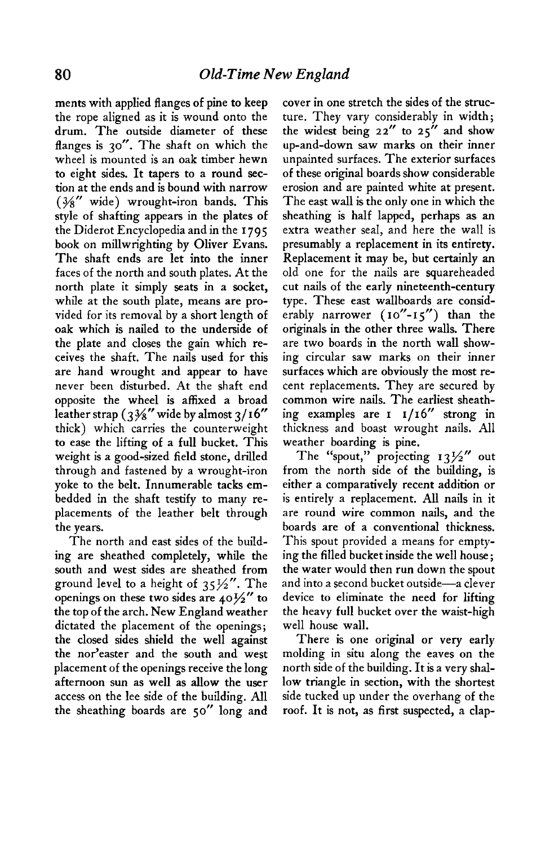**ments with applied flanges of pine to keep the rope aligned as it is wound onto the drum. The outside diameter of these flanges is 30". The shaft on which the wheel is mounted is an oak timber hewn to eight sides. It tapers to a round section at the ends and is bound with narrow**  ( $\frac{3}{8}$ " wide) wrought-iron bands. This **style of shafting appears in the plates of the Diderot Encyclopedia and in the I 795 book on millwrighting by Oliver Evans. The shaft ends are let into the inner faces of the north and south plates. At the north plate it simply seats in a socket, while at the south plate, means are provided for its removal by a short length of oak which is nailed to the underside of the plate and closes the gain which receives the shaft. The nails used for this are hand wrought and appear to have never been disturbed. At the shaft end opposite the wheel is affixed a broad leather strap (3 g" wide by almost 3/16" thick) which carries the counterweight to ease the lifting of a full bucket. This weight is a good-sized field stone, drilled through and fastened by a wrought-iron yoke to the belt. Innumerable tacks embedded in the shaft testify to many replacements of the leather belt through the years.** 

**The north and east sides of the building are sheathed completely, while the south and west sides are sheathed from ground level to a height of 35s". The**  openings on these two sides are  $40\frac{1}{2}$  to **the top of the arch. New England weather dictated the placement of the openings; the closed sides shield the well against the nor'easter and the south and west placement of the openings receive the long afternoon sun as well as allow the user access on the lee side of the building. All the sheathing boards are 50" long and**  **cover in one stretch the sides of the structure. They vary considerably in width; the widest being 22" to 25" and show up-and-down saw marks on their inner unpainted surfaces. The exterior surfaces of these original boards show considerable erosion and are painted white at present. The east wall is the only one in which the sheathing is half lapped, perhaps as an extra weather seal, and here the wall is presumably a replacement in its entirety. Replacement it may be, but certainly an old one for the nails are squareheaded cut nails of the early nineteenth-century type. These east wallboards are considerably narrower ( IO"-15") than the originals in the other three walls. There are two boards in the north wall showing circular saw marks on their inner surfaces which are obviously the most recent replacements. They are secured by common wire nails. The earliest sheath-** $\int$  **ing** examples are **I**  $1/16''$  strong in **thickness and boast wrought nails. All weather boarding is pine.** 

**The "Spout," projecting 13%" out from the north side of the building, is either a comparatively recent addition or is entirely a replacement. All nails in it are round wire common nails, and the boards are of a conventional thickness. This spout provided a means for emptying the filled bucket inside the well house; the water would then run down the spout and into a second bucket outside-a clever device to eliminate the need for lifting the heavy full bucket over the waist-high well house wall.** 

**There is one original or very early molding in situ along the eaves on the north side of the building. It is a very shallow triangle in section, with the shortest side tucked up under the overhang of the roof. It is not, as first suspected, a clap-**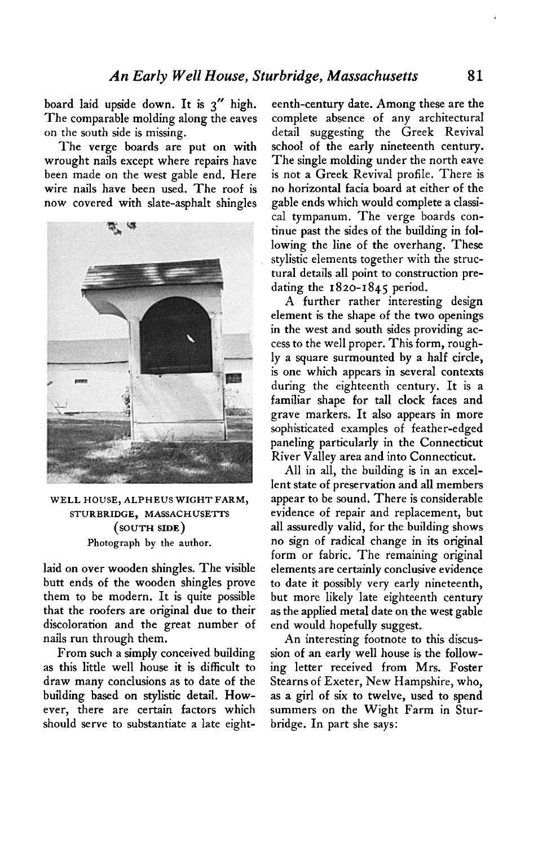**board laid upside down. It is 3" high. The comparable molding along the eaves on the south side is missing.** 

**The verge boards are put on with wrought nails except where repairs have been made on the west gable end. Here wire nails have been used. The roof is now covered with slate-asphalt shingles** 



**WELL HOUSE, ALPHEUS WIGHT FARM, STURBRIDGE, MASSACHUSETTS (SOUTH SIDE) Photograph by the author.** 

**laid on over wooden shingles. The visible butt ends of the wooden shingles prove them to be modern. It is quite possible that the roofers are original due to their discoloration and the great number of nails run through them.** 

**From such a simply conceived building as this little well house it is difficult to draw many conclusions as to date of the building based on stylistic detail. However, there are certain factors which should serve to substantiate a late eight-** **eenth-century date. Among these are the complete absence of any architectural detail suggesting the Greek Revival school of the early nineteenth century. The single molding under the north eave is not a Greek Revival profile. There is no horizontal facia board at either of the gable ends which would complete a classi**cal tympanum. The verge boards con**tinue past the sides of the building in following the line of the overhang. These stylistic elements together with the structural details all point to construction predating the 1820-1845 period.** 

**A further rather interesting design element is the shape of the two openings in the west and south sides providing access to the well proper. This form, roughly a square surmounted by a half circle, is one which appears in several contexts during the eighteenth century. It is a familiar shape for tall clock faces and grave markers. It also appears in more sophisticated examples of feather-edged paneling particularly in the Connecticut River Valley area and into Connecticut.** 

**All in all, the building is in an excellent state of preservation and all members appear to be sound. There is considerable evidence of repair and replacement, but all assuredly valid, for the building shows no sign of radical change in its original form or fabric. The remaining original elements are certainly conclusive evidence to date it possibly very early nineteenth, but more likely late eighteenth century as the applied metal date on the west gable end would hopefully suggest.** 

**An interesting footnote to this discussion of an early well house is the following letter received from Mrs. Foster Stearns of Exeter, New Hampshire, who, as a girl of six to twelve, used to spend summers on the Wight Farm in Sturbridge. In part she says:**